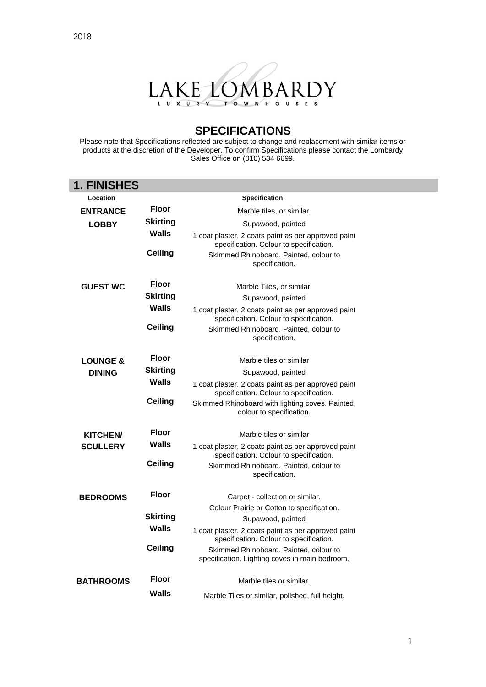



### **SPECIFICATIONS**

Please note that Specifications reflected are subject to change and replacement with similar items or products at the discretion of the Developer. To confirm Specifications please contact the Lombardy Sales Office on (010) 534 6699.

| <b>1. FINISHES</b>                   |                 |                                                                                                |
|--------------------------------------|-----------------|------------------------------------------------------------------------------------------------|
| Location                             |                 | <b>Specification</b>                                                                           |
| <b>Floor</b><br><b>ENTRANCE</b>      |                 | Marble tiles, or similar.                                                                      |
| <b>LOBBY</b>                         | Skirting        | Supawood, painted                                                                              |
|                                      | <b>Walls</b>    | 1 coat plaster, 2 coats paint as per approved paint<br>specification. Colour to specification. |
|                                      | Ceiling         | Skimmed Rhinoboard. Painted, colour to<br>specification.                                       |
| <b>GUEST WC</b>                      | <b>Floor</b>    | Marble Tiles, or similar.                                                                      |
|                                      | <b>Skirting</b> | Supawood, painted                                                                              |
|                                      | <b>Walls</b>    | 1 coat plaster, 2 coats paint as per approved paint<br>specification. Colour to specification. |
|                                      | <b>Ceiling</b>  | Skimmed Rhinoboard. Painted, colour to<br>specification.                                       |
| <b>LOUNGE &amp;</b><br><b>DINING</b> | Floor           | Marble tiles or similar                                                                        |
|                                      | <b>Skirting</b> | Supawood, painted                                                                              |
|                                      | Walls           | 1 coat plaster, 2 coats paint as per approved paint<br>specification. Colour to specification. |
|                                      | Ceiling         | Skimmed Rhinoboard with lighting coves. Painted,<br>colour to specification.                   |
| <b>KITCHEN/</b>                      | <b>Floor</b>    | Marble tiles or similar                                                                        |
| <b>SCULLERY</b>                      | Walls           | 1 coat plaster, 2 coats paint as per approved paint<br>specification. Colour to specification. |
|                                      | <b>Ceiling</b>  | Skimmed Rhinoboard. Painted, colour to<br>specification.                                       |
| <b>BEDROOMS</b>                      | <b>Floor</b>    | Carpet - collection or similar.                                                                |
|                                      |                 | Colour Prairie or Cotton to specification.                                                     |
|                                      | <b>Skirting</b> | Supawood, painted                                                                              |
|                                      | <b>Walls</b>    | 1 coat plaster, 2 coats paint as per approved paint<br>specification. Colour to specification. |
|                                      | <b>Ceiling</b>  | Skimmed Rhinoboard. Painted, colour to<br>specification. Lighting coves in main bedroom.       |
| <b>BATHROOMS</b>                     | <b>Floor</b>    | Marble tiles or similar.                                                                       |
|                                      | <b>Walls</b>    | Marble Tiles or similar, polished, full height.                                                |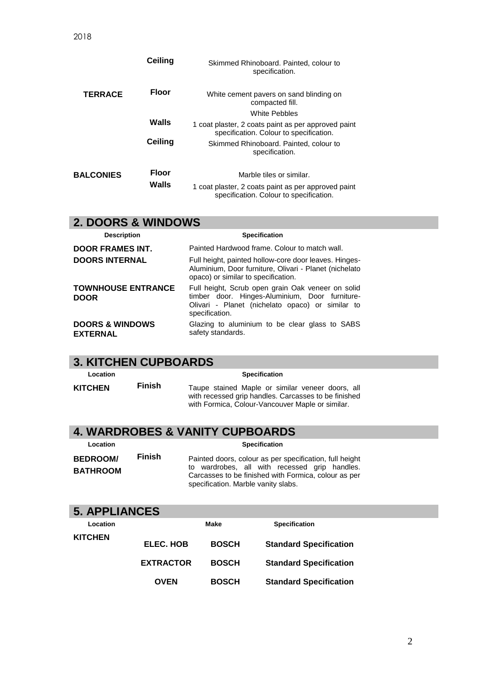|                  | Ceiling          | Skimmed Rhinoboard. Painted, colour to<br>specification.                                       |  |
|------------------|------------------|------------------------------------------------------------------------------------------------|--|
| <b>TERRACE</b>   | <b>Floor</b>     | White cement pavers on sand blinding on<br>compacted fill.                                     |  |
|                  |                  | White Pebbles                                                                                  |  |
|                  | Walls<br>Ceiling | 1 coat plaster, 2 coats paint as per approved paint<br>specification. Colour to specification. |  |
|                  |                  | Skimmed Rhinoboard. Painted, colour to<br>specification.                                       |  |
| <b>BALCONIES</b> | <b>Floor</b>     | Marble tiles or similar.                                                                       |  |
|                  | Walls            | 1 coat plaster, 2 coats paint as per approved paint<br>specification. Colour to specification. |  |

## **2. DOORS & WINDOWS**

| <b>Description</b>                            | <b>Specification</b>                                                                                                                                                      |  |  |
|-----------------------------------------------|---------------------------------------------------------------------------------------------------------------------------------------------------------------------------|--|--|
| <b>DOOR FRAMES INT.</b>                       | Painted Hardwood frame. Colour to match wall.                                                                                                                             |  |  |
| <b>DOORS INTERNAL</b>                         | Full height, painted hollow-core door leaves. Hinges-<br>Aluminium, Door furniture, Olivari - Planet (nichelato<br>opaco) or similar to specification.                    |  |  |
| <b>TOWNHOUSE ENTRANCE</b><br><b>DOOR</b>      | Full height, Scrub open grain Oak veneer on solid<br>timber door. Hinges-Aluminium, Door furniture-<br>Olivari - Planet (nichelato opaco) or similar to<br>specification. |  |  |
| <b>DOORS &amp; WINDOWS</b><br><b>EXTERNAL</b> | Glazing to aluminium to be clear glass to SABS<br>safety standards.                                                                                                       |  |  |

### **3. KITCHEN CUPBOARDS**

| Location       |        | <b>Specification</b>                                                                                                                                         |
|----------------|--------|--------------------------------------------------------------------------------------------------------------------------------------------------------------|
| <b>KITCHEN</b> | Finish | Taupe stained Maple or similar veneer doors, all<br>with recessed grip handles. Carcasses to be finished<br>with Formica, Colour-Vancouver Maple or similar. |

### **4. WARDROBES & VANITY CUPBOARDS**

| Location                           |               | <b>Specification</b>                                                                                                                                                                                    |  |  |
|------------------------------------|---------------|---------------------------------------------------------------------------------------------------------------------------------------------------------------------------------------------------------|--|--|
| <b>BEDROOM/</b><br><b>BATHROOM</b> | <b>Finish</b> | Painted doors, colour as per specification, full height<br>to wardrobes, all with recessed grip handles.<br>Carcasses to be finished with Formica, colour as per<br>specification. Marble vanity slabs. |  |  |

# **5. APPLIANCES**

| Location |                  | Make         | <b>Specification</b>          |
|----------|------------------|--------------|-------------------------------|
| KITCHEN  | ELEC. HOB        | <b>BOSCH</b> | <b>Standard Specification</b> |
|          | <b>EXTRACTOR</b> | <b>BOSCH</b> | <b>Standard Specification</b> |
|          | OVEN             | <b>BOSCH</b> | <b>Standard Specification</b> |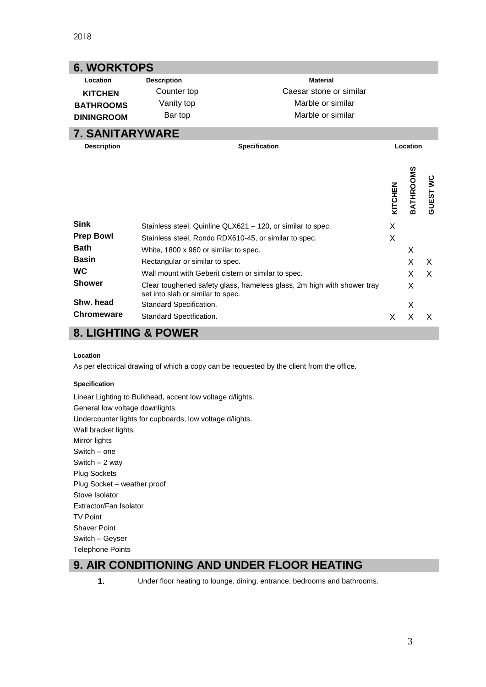| <b>6. WORKTOPS</b>             |                                                             |                                                                         |          |           |                |
|--------------------------------|-------------------------------------------------------------|-------------------------------------------------------------------------|----------|-----------|----------------|
| Location                       | <b>Description</b>                                          | <b>Material</b>                                                         |          |           |                |
| <b>KITCHEN</b>                 | Counter top                                                 | Caesar stone or similar                                                 |          |           |                |
| <b>BATHROOMS</b>               | Vanity top                                                  | Marble or similar                                                       |          |           |                |
| <b>DININGROOM</b>              | Bar top                                                     | Marble or similar                                                       |          |           |                |
| <b>7. SANITARYWARE</b>         |                                                             |                                                                         |          |           |                |
| <b>Description</b>             | <b>Specification</b>                                        |                                                                         | Location |           |                |
|                                |                                                             |                                                                         | KITCHEN  | BATHROOMS | <b>GUESTWC</b> |
| <b>Sink</b>                    | Stainless steel, Quinline QLX621 - 120, or similar to spec. |                                                                         |          |           |                |
| <b>Prep Bowl</b>               | Stainless steel, Rondo RDX610-45, or similar to spec.       |                                                                         |          |           |                |
| <b>Bath</b>                    | White, 1800 x 960 or similar to spec.                       |                                                                         |          | X         |                |
| <b>Basin</b>                   | Rectangular or similar to spec.                             |                                                                         |          | X         | X              |
| <b>WC</b>                      |                                                             | Wall mount with Geberit cistern or similar to spec.                     |          |           | X              |
|                                |                                                             |                                                                         |          | X         |                |
| <b>Shower</b>                  | set into slab or similar to spec.                           | Clear toughened safety glass, frameless glass, 2m high with shower tray |          | X         |                |
| Shw. head<br><b>Chromeware</b> | Standard Specification.                                     |                                                                         |          | X         |                |

### **8. LIGHTING & POWER**

#### **Location**

As per electrical drawing of which a copy can be requested by the client from the office.

#### **Specification**

Linear Lighting to Bulkhead, accent low voltage d/lights. General low voltage downlights. Undercounter lights for cupboards, low voltage d/lights. Wall bracket lights. Mirror lights Switch – one Switch – 2 way Plug Sockets Plug Socket – weather proof Stove Isolator Extractor/Fan Isolator TV Point Shaver Point Switch – Geyser Telephone Points

### **9. AIR CONDITIONING AND UNDER FLOOR HEATING**

**1.** Under floor heating to lounge, dining, entrance, bedrooms and bathrooms.